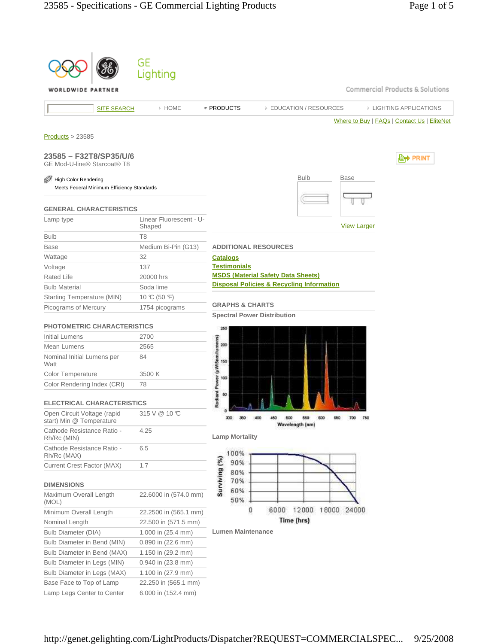|                                                         | GE                      |                                     |                                                      |                              |                    |                                             |
|---------------------------------------------------------|-------------------------|-------------------------------------|------------------------------------------------------|------------------------------|--------------------|---------------------------------------------|
|                                                         | Lighting                |                                     |                                                      |                              |                    |                                             |
| LDWIDE PARTNER                                          |                         |                                     |                                                      |                              |                    | Commercial Products & Solutions             |
|                                                         |                         |                                     |                                                      |                              |                    |                                             |
| <b>SITE SEARCH</b>                                      | > HOME                  | * PRODUCTS                          |                                                      | <b>EDUCATION / RESOURCES</b> |                    | <b>EIGHTING APPLICATIONS</b>                |
|                                                         |                         |                                     |                                                      |                              |                    | Where to Buy   FAQs   Contact Us   EliteNet |
| Products > 23585                                        |                         |                                     |                                                      |                              |                    |                                             |
|                                                         |                         |                                     |                                                      |                              |                    |                                             |
| 23585 - F32T8/SP35/U/6                                  |                         |                                     |                                                      |                              |                    | l≌n) Print                                  |
| GE Mod-U-line® Starcoat® T8                             |                         |                                     |                                                      |                              |                    |                                             |
| High Color Rendering                                    |                         |                                     |                                                      | <b>Bulb</b>                  | <b>Base</b>        |                                             |
| Meets Federal Minimum Efficiency Standards              |                         |                                     |                                                      |                              |                    |                                             |
|                                                         |                         |                                     |                                                      |                              |                    |                                             |
| <b>GENERAL CHARACTERISTICS</b>                          |                         |                                     |                                                      |                              |                    |                                             |
| Lamp type                                               | Linear Fluorescent - U- |                                     |                                                      |                              |                    |                                             |
|                                                         | Shaped                  |                                     |                                                      |                              | <b>View Larger</b> |                                             |
| <b>Bulb</b>                                             | T8                      |                                     |                                                      |                              |                    |                                             |
| Base                                                    | Medium Bi-Pin (G13)     |                                     | <b>ADDITIONAL RESOURCES</b>                          |                              |                    |                                             |
| Wattage                                                 | 32                      | <b>Catalogs</b>                     |                                                      |                              |                    |                                             |
| Voltage                                                 | 137                     | <b>Testimonials</b>                 | <b>MSDS (Material Safety Data Sheets)</b>            |                              |                    |                                             |
| <b>Rated Life</b>                                       | 20000 hrs               |                                     | <b>Disposal Policies &amp; Recycling Information</b> |                              |                    |                                             |
| <b>Bulb Material</b>                                    | Soda lime               |                                     |                                                      |                              |                    |                                             |
| Starting Temperature (MIN)                              | 10 °C (50 °F)           | <b>GRAPHS &amp; CHARTS</b>          |                                                      |                              |                    |                                             |
| Picograms of Mercury                                    | 1754 picograms          |                                     | <b>Spectral Power Distribution</b>                   |                              |                    |                                             |
| <b>PHOTOMETRIC CHARACTERISTICS</b>                      |                         |                                     |                                                      |                              |                    |                                             |
| Initial Lumens                                          | 2700                    | 260                                 |                                                      |                              |                    |                                             |
| Mean Lumens                                             | 2565                    | 200                                 |                                                      |                              |                    |                                             |
| Nominal Initial Lumens per                              | 84                      |                                     |                                                      |                              |                    |                                             |
| Watt                                                    |                         | 150                                 |                                                      |                              |                    |                                             |
| Color Temperature                                       | 3500 K                  | 100                                 |                                                      |                              |                    |                                             |
| Color Rendering Index (CRI)                             | 78                      |                                     |                                                      |                              |                    |                                             |
|                                                         |                         | Radiant Power (µW/Snm/lumens)<br>60 |                                                      |                              |                    |                                             |
| <b>ELECTRICAL CHARACTERISTICS</b>                       |                         |                                     |                                                      |                              |                    |                                             |
| Open Circuit Voltage (rapid<br>start) Min @ Temperature | 315 V @ 10 °C           | 300<br>350                          | 400<br>500                                           | 560<br>600                   | 700                | 750                                         |
| Cathode Resistance Ratio -                              | 4.25                    |                                     |                                                      | Wavelength (nm)              |                    |                                             |
| Rh/Rc (MIN)                                             |                         | <b>Lamp Mortality</b>               |                                                      |                              |                    |                                             |
| Cathode Resistance Ratio -                              | 6.5                     | 100%                                |                                                      |                              |                    |                                             |
| Rh/Rc (MAX)                                             |                         | 90%                                 |                                                      |                              |                    |                                             |
| Current Crest Factor (MAX)                              | 1.7                     | 80%                                 |                                                      |                              |                    |                                             |
| <b>DIMENSIONS</b>                                       |                         | Surviving (%)<br>70%                |                                                      |                              |                    |                                             |
| Maximum Overall Length                                  | 22.6000 in (574.0 mm)   | 60%                                 |                                                      |                              |                    |                                             |
| (MOL)                                                   |                         | 50%                                 |                                                      |                              |                    |                                             |
| Minimum Overall Length                                  | 22.2500 in (565.1 mm)   | 0                                   | 6000                                                 | 12000<br>18000               | 24000              |                                             |
| Nominal Length                                          | 22.500 in (571.5 mm)    |                                     |                                                      | Time (hrs)                   |                    |                                             |
| <b>Bulb Diameter (DIA)</b>                              | 1.000 in (25.4 mm)      | <b>Lumen Maintenance</b>            |                                                      |                              |                    |                                             |
| Bulb Diameter in Bend (MIN)                             | 0.890 in (22.6 mm)      |                                     |                                                      |                              |                    |                                             |
| Bulb Diameter in Bend (MAX)                             | 1.150 in (29.2 mm)      |                                     |                                                      |                              |                    |                                             |
| Bulb Diameter in Legs (MIN)                             | 0.940 in (23.8 mm)      |                                     |                                                      |                              |                    |                                             |
| Bulb Diameter in Legs (MAX)                             | 1.100 in $(27.9$ mm)    |                                     |                                                      |                              |                    |                                             |
| Base Face to Top of Lamp                                | 22.250 in (565.1 mm)    |                                     |                                                      |                              |                    |                                             |
| Lamp Legs Center to Center                              | 6.000 in (152.4 mm)     |                                     |                                                      |                              |                    |                                             |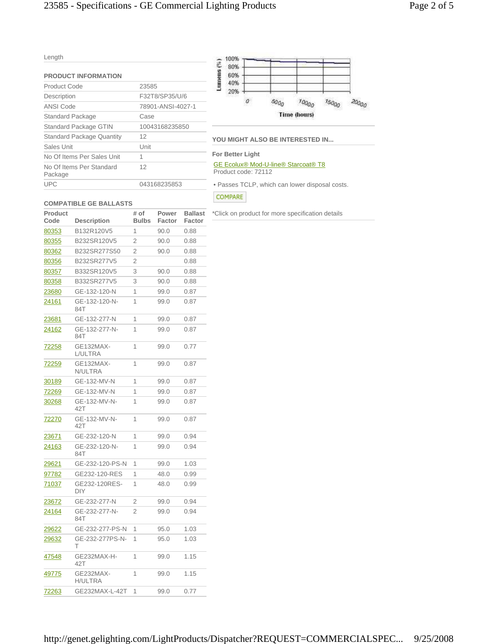| ۹ | <b>STATE</b> |
|---|--------------|

| <b>PRODUCT INFORMATION</b>          |                   |
|-------------------------------------|-------------------|
| Product Code                        | 23585             |
| Description                         | F32T8/SP35/U/6    |
| ANSI Code                           | 78901-ANSI-4027-1 |
| Standard Package                    | Case              |
| Standard Package GTIN               | 10043168235850    |
| <b>Standard Package Quantity</b>    | 12                |
| Sales Unit                          | Unit              |
| No Of Items Per Sales Unit          | 1                 |
| No Of Items Per Standard<br>Package | 12                |
| UPC                                 | 043168235853      |



# **YOU MIGHT ALSO BE INTERESTED IN...**

#### **For Better Light**

GE Ecolux® Mod-U-line® Starcoat® T8 Product code: 72112

• Passes TCLP, which can lower disposal costs.

# COMPARE

# **COMPATIBLE GE BALLASTS**

| Product<br>Code | <b>Description</b>          | # of<br><b>Bulbs</b> | Power<br>Factor | <b>Ballast</b><br>Factor |
|-----------------|-----------------------------|----------------------|-----------------|--------------------------|
| 80353           | B132R120V5                  | 1                    | 90.0            | 0.88                     |
| 80355           | B232SR120V5                 | $\overline{2}$       | 90.0            | 0.88                     |
| 80362           | B232SR277S50                | $\overline{2}$       | 90.0            | 0.88                     |
| 80356           | B232SR277V5                 | $\overline{2}$       |                 | 0.88                     |
| 80357           | B332SR120V5                 | 3                    | 90.0            | 0.88                     |
| <u>80358</u>    | B332SR277V5                 | 3                    | 90.0            | 0.88                     |
| <u> 23680</u>   | GE-132-120-N                | 1                    | 99.0            | 0.87                     |
| 24161           | GE-132-120-N-<br>84T        | 1                    | 99.0            | 0.87                     |
| <u> 23681</u>   | GE-132-277-N                | 1                    | 99.0            | 0.87                     |
| 24162           | GE-132-277-N-<br>84T        | 1                    | 99.0            | 0.87                     |
| 72258           | GE132MAX-<br>L/ULTRA        | 1                    | 99.0            | 0.77                     |
| 72259           | GE132MAX-<br>N/ULTRA        | 1                    | 99.0            | 0.87                     |
| 30189           | GE-132-MV-N                 | 1                    | 99.0            | 0.87                     |
| 72269           | GE-132-MV-N                 | 1                    | 99.0            | 0.87                     |
| 30268           | GE-132-MV-N-<br>42T         | 1                    | 99.0            | 0.87                     |
| 72270           | GE-132-MV-N-<br>42T         | 1                    | 99.0            | 0.87                     |
| 23671           | GE-232-120-N                | 1                    | 99.0            | 0.94                     |
| 24163           | GE-232-120-N-<br>84T        | 1                    | 99.0            | 0.94                     |
| <u> 29621</u>   | GE-232-120-PS-N             | 1                    | 99.0            | 1.03                     |
| <u>97782</u>    | GE232-120-RES               | 1                    | 48.0            | 0.99                     |
| 71037           | GE232-120RES-<br><b>DIY</b> | 1                    | 48.0            | 0.99                     |
| <u> 23672</u>   | GE-232-277-N                | $\overline{2}$       | 99.0            | 0.94                     |
| 24164           | GE-232-277-N-<br>84T        | 2                    | 99.0            | 0.94                     |
| 29622           | GE-232-277-PS-N             | 1                    | 95.0            | 1.03                     |
| 29632           | GE-232-277PS-N-<br>Τ        | 1                    | 95.0            | 1.03                     |
| 47548           | GE232MAX-H-<br>42T          | 1                    | 99.0            | 1.15                     |
| 49775           | GE232MAX-<br><b>H/ULTRA</b> | 1                    | 99.0            | 1.15                     |
| 72263           | GE232MAX-L-42T              | 1                    | 99.0            | 0.77                     |

# \*Click on product for more specification details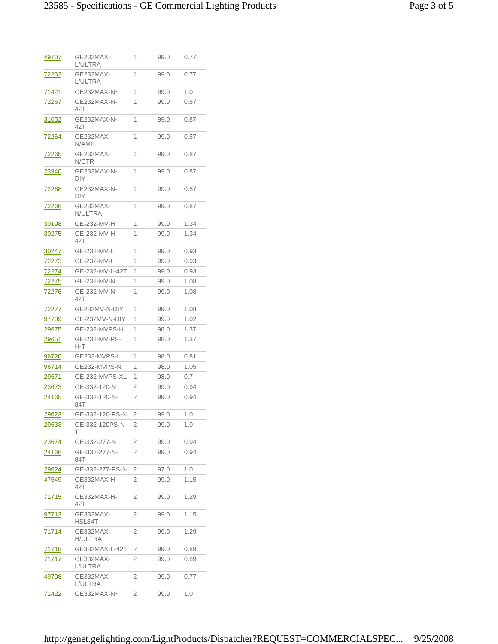| <u>49707</u>  | GE232MAX-<br>L/ULTRA        | 1 | 99.0 | 0.77 |
|---------------|-----------------------------|---|------|------|
| <u>72262</u>  | GE232MAX-<br>L/ULTRA        | 1 | 99.0 | 0.77 |
| 71421         | GE232MAX-N+                 | 1 | 99.0 | 1.0  |
| 72267         | GE232MAX-N-<br>42T          | 1 | 99.0 | 0.87 |
| 31052         | GE232MAX-N-<br>42T          | 1 | 99.0 | 0.87 |
| <u>72264</u>  | GE232MAX-<br>N/AMP          | 1 | 99.0 | 0.87 |
| <u>72265</u>  | GE232MAX-<br>N/CTR          | 1 | 99.0 | 0.87 |
| <u> 23940</u> | GE232MAX-N-<br>DIY          | 1 | 99.0 | 0.87 |
| 72268         | GE232MAX-N-<br>DIY          | 1 | 99.0 | 0.87 |
| <u>72266</u>  | GE232MAX-<br>N/ULTRA        | 1 | 99.0 | 0.87 |
| <u>30198</u>  | GE-232-MV-H                 | 1 | 99.0 | 1.34 |
| 30275         | GE-232-MV-H-<br>42T         | 1 | 99.0 | 1.34 |
| 30247         | GE-232-MV-L                 | 1 | 99.0 | 0.93 |
| 72273         | GE-232-MV-L                 | 1 | 99.0 | 0.93 |
| 72274         | GE-232-MV-L-42T             | 1 | 99.0 | 0.93 |
| 72275         | GE-232-MV-N                 | 1 | 99.0 | 1.08 |
| 72276         | GE-232-MV-N-<br>42T         | 1 | 99.0 | 1.08 |
| <u>72277</u>  | GE232MV-N-DIY               | 1 | 99.0 | 1.08 |
| 97709         | GE-232MV-N-DIY              | 1 | 99.0 | 1.02 |
| 29675         | GE-232-MVPS-H               | 1 | 98.0 | 1.37 |
| <u>29651</u>  | GE-232-MV-PS-<br>H-T        | 1 | 98.0 | 1.37 |
| 96720         | GE232-MVPS-L                | 1 | 98.0 | 0.81 |
| 96714         | GE232-MVPS-N                | 1 | 98.0 | 1.05 |
| 29671         | GE-232-MVPS-XL              | 1 | 98.0 | 0.7  |
| 23673         | GE-332-120-N                | 2 | 99.0 | 0.94 |
| 24165         | GE-332-120-N-<br>84T        | 2 | 99.0 | 0.94 |
| 29623         | GE-332-120-PS-N             | 2 | 99.0 | 1.0  |
| <u> 29633</u> | GE-332-120PS-N-<br>т        | 2 | 99.0 | 1.0  |
| 23674         | GE-332-277-N                | 2 | 99.0 | 0.94 |
| <u> 24166</u> | GE-332-277-N-<br>84T        | 2 | 99.0 | 0.94 |
| 29624         | GE-332-277-PS-N             | 2 | 97.0 | 1.0  |
| 47549         | GE332MAX-H-<br>42T          | 2 | 99.0 | 1.15 |
| 71715         | GE332MAX-H-<br>42T          | 2 | 99.0 | 1.29 |
| 97713         | GE332MAX-<br>HSL84T         | 2 | 99.0 | 1.15 |
| 71714         | GE332MAX-<br><b>H/ULTRA</b> | 2 | 99.0 | 1.29 |
| <u>71718</u>  | GE332MAX-L-42T              | 2 | 99.0 | 0.89 |
| 71717         | GE332MAX-<br>L/ULTRA        | 2 | 99.0 | 0.89 |
| 49708         | GE332MAX-<br>L/ULTRA        | 2 | 99.0 | 0.77 |
| 71422         | GE332MAX-N+                 | 2 | 99.0 | 1.0  |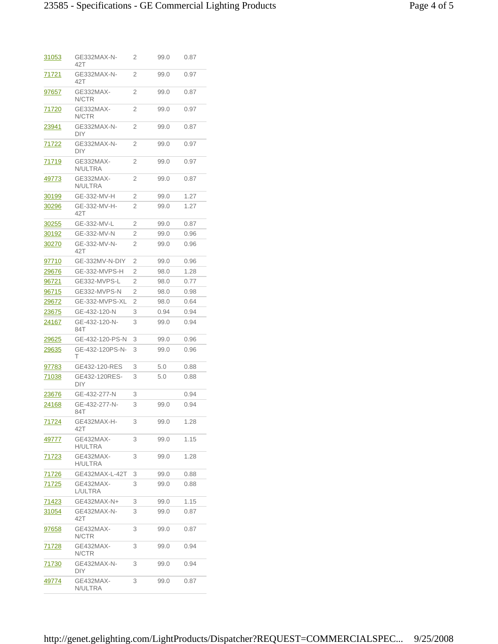| <u>31053</u>  | GE332MAX-N-<br>42T        | 2              | 99.0 | 0.87 |
|---------------|---------------------------|----------------|------|------|
| 71721         | GE332MAX-N-<br>42T        | 2              | 99.0 | 0.97 |
| 97657         | GE332MAX-<br>N/CTR        | $\overline{2}$ | 99.0 | 0.87 |
| 71720         | GE332MAX-<br>N/CTR        | 2              | 99.0 | 0.97 |
| <u> 23941</u> | GE332MAX-N-<br><b>DIY</b> | 2              | 99.0 | 0.87 |
| <u>71722</u>  | GE332MAX-N-<br>DIY        | 2              | 99.0 | 0.97 |
| 71719         | GE332MAX-<br>N/ULTRA      | 2              | 99.0 | 0.97 |
| 49773         | GE332MAX-<br>N/ULTRA      | 2              | 99.0 | 0.87 |
| <u>30199</u>  | GE-332-MV-H               | 2              | 99.0 | 1.27 |
| <u>30296</u>  | GE-332-MV-H-<br>42T       | 2              | 99.0 | 1.27 |
| <u>30255</u>  | GE-332-MV-L               | 2              | 99.0 | 0.87 |
| 30192         | GE-332-MV-N               | 2              | 99.0 | 0.96 |
| 30270         | GE-332-MV-N-<br>42T       | 2              | 99.0 | 0.96 |
| 97710         | GE-332MV-N-DIY            | 2              | 99.0 | 0.96 |
| 29676         | GE-332-MVPS-H             | 2              | 98.0 | 1.28 |
| <u>96721</u>  | GE332-MVPS-L              | 2              | 98.0 | 0.77 |
| <u>96715</u>  | GE332-MVPS-N              | 2              | 98.0 | 0.98 |
| 29672         | GE-332-MVPS-XL            | 2              | 98.0 | 0.64 |
| 23675         | GE-432-120-N              | 3              | 0.94 | 0.94 |
| 24167         | GE-432-120-N-<br>84T      | 3              | 99.0 | 0.94 |
| <u> 29625</u> | GE-432-120-PS-N           | 3              | 99.0 | 0.96 |
| 29635         | GE-432-120PS-N-<br>т      | 3              | 99.0 | 0.96 |
| 97783         | GE432-120-RES             | 3              | 5.0  | 0.88 |
| 71038         | GE432-120RES-<br>DIY.     | 3              | 5.0  | 0.88 |
| 23676         | GE-432-277-N              | 3              |      | 0.94 |
| 24168         | GE-432-277-N-<br>84T      | 3              | 99.0 | 0.94 |
| 71724         | GE432MAX-H-<br>42T        | 3              | 99.0 | 1.28 |
| 49777         | GE432MAX-<br>H/ULTRA      | 3              | 99.0 | 1.15 |
| <u>71723</u>  | GE432MAX-<br>H/ULTRA      | 3              | 99.0 | 1.28 |
| <u>71726</u>  | GE432MAX-L-42T            | 3              | 99.0 | 0.88 |
| <u>71725</u>  | GE432MAX-<br>L/ULTRA      | 3              | 99.0 | 0.88 |
| <u>71423</u>  | GE432MAX-N+               | 3              | 99.0 | 1.15 |
| 31054         | GE432MAX-N-<br>42T        | 3              | 99.0 | 0.87 |
| <u>97658</u>  | GE432MAX-<br>N/CTR        | 3              | 99.0 | 0.87 |
| 71728         | GE432MAX-<br>N/CTR        | 3              | 99.0 | 0.94 |
| 71730         | GE432MAX-N-<br>DIY        | 3              | 99.0 | 0.94 |
| <u>49774</u>  | GE432MAX-<br>N/ULTRA      | 3              | 99.0 | 0.87 |